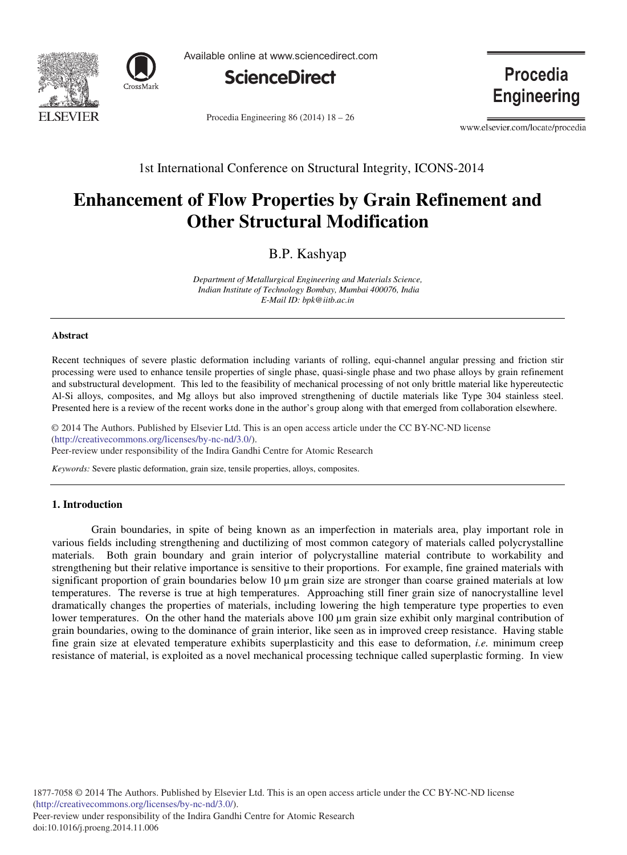



Available online at www.sciencedirect.com



Procedia Engineering 86 (2014)  $18 - 26$ 

**Procedia Engineering** 

www.elsevier.com/locate/procedia

1st International Conference on Structural Integrity, ICONS-2014

# **Enhancement of Flow Properties by Grain Refinement and Other Structural Modification**

B.P. Kashyap

*Department of Metallurgical Engineering and Materials Science, Indian Institute of Technology Bombay, Mumbai 400076, India E-Mail ID: bpk@iitb.ac.in* 

#### **Abstract**

Recent techniques of severe plastic deformation including variants of rolling, equi-channel angular pressing and friction stir processing were used to enhance tensile properties of single phase, quasi-single phase and two phase alloys by grain refinement and substructural development. This led to the feasibility of mechanical processing of not only brittle material like hypereutectic Al-Si alloys, composites, and Mg alloys but also improved strengthening of ductile materials like Type 304 stainless steel. Presented here is a review of the recent works done in the author's group along with that emerged from collaboration elsewhere.

© 2014 The Authors. Published by Elsevier Ltd. (http://creativecommons.org/licenses/by-nc-nd/3.0/). Peer-review under responsibility of the Indira Gandhi Centre for Atomic Research. Peer-review under responsibility of the Indira Gandhi Centre for Atomic Research© 2014 The Authors. Published by Elsevier Ltd. This is an open access article under the CC BY-NC-ND license

*Keywords:* Severe plastic deformation, grain size, tensile properties, alloys, composites.

# **1. Introduction**

 Grain boundaries, in spite of being known as an imperfection in materials area, play important role in various fields including strengthening and ductilizing of most common category of materials called polycrystalline materials. Both grain boundary and grain interior of polycrystalline material contribute to workability and strengthening but their relative importance is sensitive to their proportions. For example, fine grained materials with significant proportion of grain boundaries below 10 μm grain size are stronger than coarse grained materials at low temperatures. The reverse is true at high temperatures. Approaching still finer grain size of nanocrystalline level dramatically changes the properties of materials, including lowering the high temperature type properties to even lower temperatures. On the other hand the materials above 100 μm grain size exhibit only marginal contribution of grain boundaries, owing to the dominance of grain interior, like seen as in improved creep resistance. Having stable fine grain size at elevated temperature exhibits superplasticity and this ease to deformation, *i.e.* minimum creep resistance of material, is exploited as a novel mechanical processing technique called superplastic forming. In view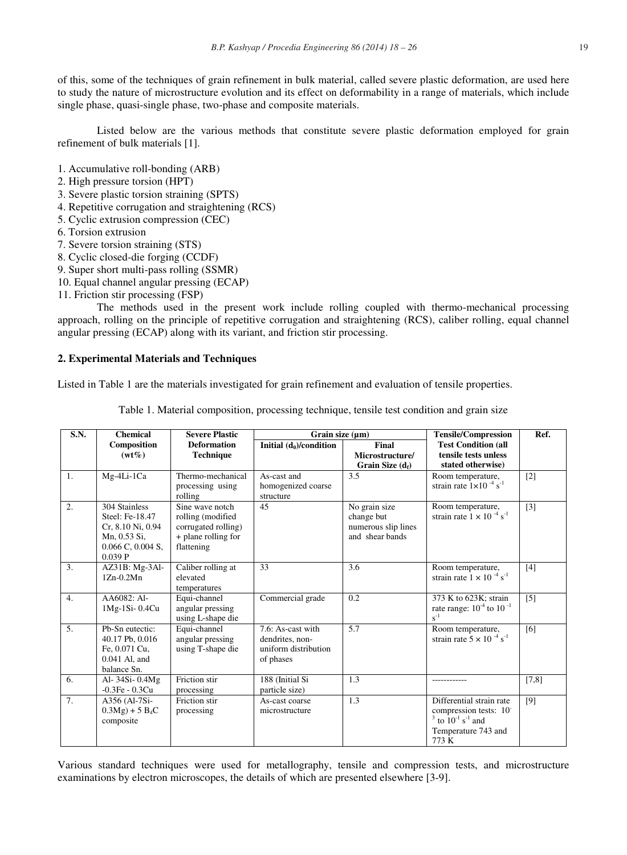of this, some of the techniques of grain refinement in bulk material, called severe plastic deformation, are used here to study the nature of microstructure evolution and its effect on deformability in a range of materials, which include single phase, quasi-single phase, two-phase and composite materials.

 Listed below are the various methods that constitute severe plastic deformation employed for grain refinement of bulk materials [1].

- 1. Accumulative roll-bonding (ARB)
- 2. High pressure torsion (HPT)
- 3. Severe plastic torsion straining (SPTS)
- 4. Repetitive corrugation and straightening (RCS)
- 5. Cyclic extrusion compression (CEC)
- 6. Torsion extrusion
- 7. Severe torsion straining (STS)
- 8. Cyclic closed-die forging (CCDF)
- 9. Super short multi-pass rolling (SSMR)
- 10. Equal channel angular pressing (ECAP)
- 11. Friction stir processing (FSP)

 The methods used in the present work include rolling coupled with thermo-mechanical processing approach, rolling on the principle of repetitive corrugation and straightening (RCS), caliber rolling, equal channel angular pressing (ECAP) along with its variant, and friction stir processing.

## **2. Experimental Materials and Techniques**

Listed in Table 1 are the materials investigated for grain refinement and evaluation of tensile properties.

Table 1. Material composition, processing technique, tensile test condition and grain size

| S.N. | <b>Chemical</b>                                                                                          | <b>Severe Plastic</b>                                                                            | Grain size $(\mu m)$                                                      |                                                                       | <b>Tensile/Compression</b>                                                                                                | Ref.              |
|------|----------------------------------------------------------------------------------------------------------|--------------------------------------------------------------------------------------------------|---------------------------------------------------------------------------|-----------------------------------------------------------------------|---------------------------------------------------------------------------------------------------------------------------|-------------------|
|      | Composition<br>$(wt\%)$                                                                                  | <b>Deformation</b><br><b>Technique</b>                                                           | Initial $(d_0)/$ condition                                                | Final<br>Microstructure/<br>Grain Size $(d_f)$                        | <b>Test Condition (all</b><br>tensile tests unless<br>stated otherwise)                                                   |                   |
| 1.   | Mg-4Li-1Ca                                                                                               | Thermo-mechanical<br>processing using<br>rolling                                                 | As-cast and<br>homogenized coarse<br>structure                            | 3.5                                                                   | Room temperature,<br>strain rate $1 \times 10^{-4}$ s <sup>-1</sup>                                                       | $\lceil 2 \rceil$ |
| 2.   | 304 Stainless<br>Steel: Fe-18.47<br>Cr, 8.10 Ni, 0.94<br>Mn, 0.53 Si,<br>$0.066$ C, $0.004$ S,<br>0.039P | Sine wave notch<br>rolling (modified<br>corrugated rolling)<br>+ plane rolling for<br>flattening | 45                                                                        | No grain size<br>change but<br>numerous slip lines<br>and shear bands | Room temperature,<br>strain rate $1 \times 10^{-4}$ s <sup>-1</sup>                                                       | $[3]$             |
| 3.   | $AZ31B$ : Mg-3Al-<br>$1Zn-0.2Mn$                                                                         | Caliber rolling at<br>elevated<br>temperatures                                                   | 33                                                                        | 3.6                                                                   | Room temperature,<br>strain rate $1 \times 10^{-4}$ s <sup>-1</sup>                                                       | $[4]$             |
| 4.   | AA6082: Al-<br>1Mg-1Si-0.4Cu                                                                             | Equi-channel<br>angular pressing<br>using L-shape die                                            | Commercial grade                                                          | 0.2                                                                   | 373 K to 623K: strain<br>rate range: $10^{-4}$ to $10^{-1}$<br>$s^{-1}$                                                   | $\lceil 5 \rceil$ |
| 5.   | Pb-Sn eutectic:<br>40.17 Pb, 0.016<br>Fe, 0.071 Cu,<br>$0.041$ Al. and<br>balance Sn.                    | Equi-channel<br>angular pressing<br>using T-shape die                                            | 7.6: As-cast with<br>dendrites, non-<br>uniform distribution<br>of phases | 5.7                                                                   | Room temperature,<br>strain rate $5 \times 10^{-4}$ s <sup>-1</sup>                                                       | [6]               |
| 6.   | Al-34Si-0.4Mg<br>$-0.3Fe - 0.3Cu$                                                                        | Friction stir<br>processing                                                                      | 188 (Initial Si<br>particle size)                                         | 1.3                                                                   |                                                                                                                           | [7,8]             |
| 7.   | A356 (Al-7Si-<br>$0.3Mg$ + 5 B <sub>4</sub> C<br>composite                                               | Friction stir<br>processing                                                                      | As-cast coarse<br>microstructure                                          | 1.3                                                                   | Differential strain rate<br>compression tests: 10<br>$3$ to $10^{-1}$ s <sup>-1</sup> and<br>Temperature 743 and<br>773 K | [9]               |

Various standard techniques were used for metallography, tensile and compression tests, and microstructure examinations by electron microscopes, the details of which are presented elsewhere [3-9].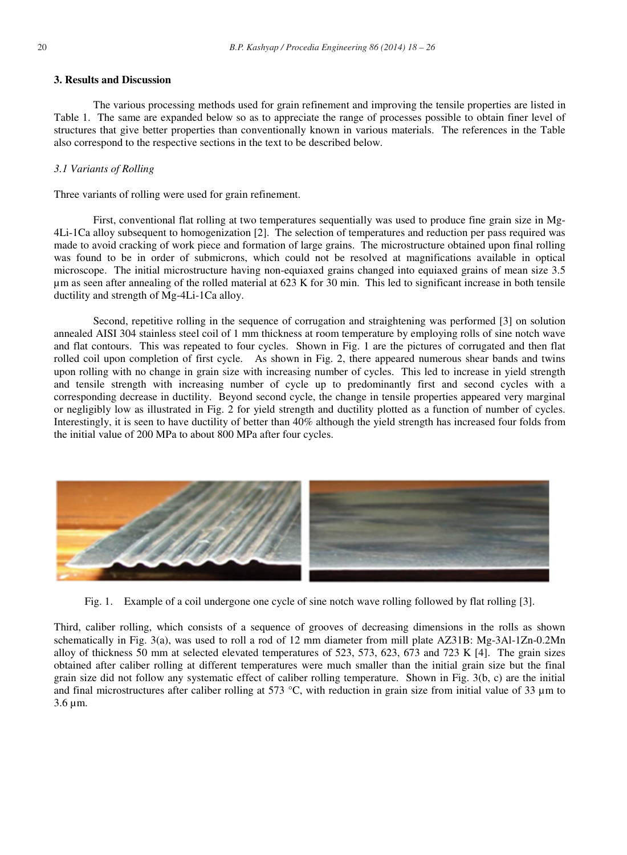## **3. Results and Discussion**

 The various processing methods used for grain refinement and improving the tensile properties are listed in Table 1. The same are expanded below so as to appreciate the range of processes possible to obtain finer level of structures that give better properties than conventionally known in various materials. The references in the Table also correspond to the respective sections in the text to be described below.

## *3.1 Variants of Rolling*

Three variants of rolling were used for grain refinement.

 First, conventional flat rolling at two temperatures sequentially was used to produce fine grain size in Mg-4Li-1Ca alloy subsequent to homogenization [2]. The selection of temperatures and reduction per pass required was made to avoid cracking of work piece and formation of large grains. The microstructure obtained upon final rolling was found to be in order of submicrons, which could not be resolved at magnifications available in optical microscope. The initial microstructure having non-equiaxed grains changed into equiaxed grains of mean size 3.5 μm as seen after annealing of the rolled material at 623 K for 30 min. This led to significant increase in both tensile ductility and strength of Mg-4Li-1Ca alloy.

 Second, repetitive rolling in the sequence of corrugation and straightening was performed [3] on solution annealed AISI 304 stainless steel coil of 1 mm thickness at room temperature by employing rolls of sine notch wave and flat contours. This was repeated to four cycles. Shown in Fig. 1 are the pictures of corrugated and then flat rolled coil upon completion of first cycle. As shown in Fig. 2, there appeared numerous shear bands and twins upon rolling with no change in grain size with increasing number of cycles. This led to increase in yield strength and tensile strength with increasing number of cycle up to predominantly first and second cycles with a corresponding decrease in ductility. Beyond second cycle, the change in tensile properties appeared very marginal or negligibly low as illustrated in Fig. 2 for yield strength and ductility plotted as a function of number of cycles. Interestingly, it is seen to have ductility of better than 40% although the yield strength has increased four folds from the initial value of 200 MPa to about 800 MPa after four cycles.



Fig. 1. Example of a coil undergone one cycle of sine notch wave rolling followed by flat rolling [3].

Third, caliber rolling, which consists of a sequence of grooves of decreasing dimensions in the rolls as shown schematically in Fig. 3(a), was used to roll a rod of 12 mm diameter from mill plate AZ31B: Mg-3Al-1Zn-0.2Mn alloy of thickness 50 mm at selected elevated temperatures of 523, 573, 623, 673 and 723 K [4]. The grain sizes obtained after caliber rolling at different temperatures were much smaller than the initial grain size but the final grain size did not follow any systematic effect of caliber rolling temperature. Shown in Fig. 3(b, c) are the initial and final microstructures after caliber rolling at 573 °C, with reduction in grain size from initial value of 33  $\mu$ m to 3.6 μm.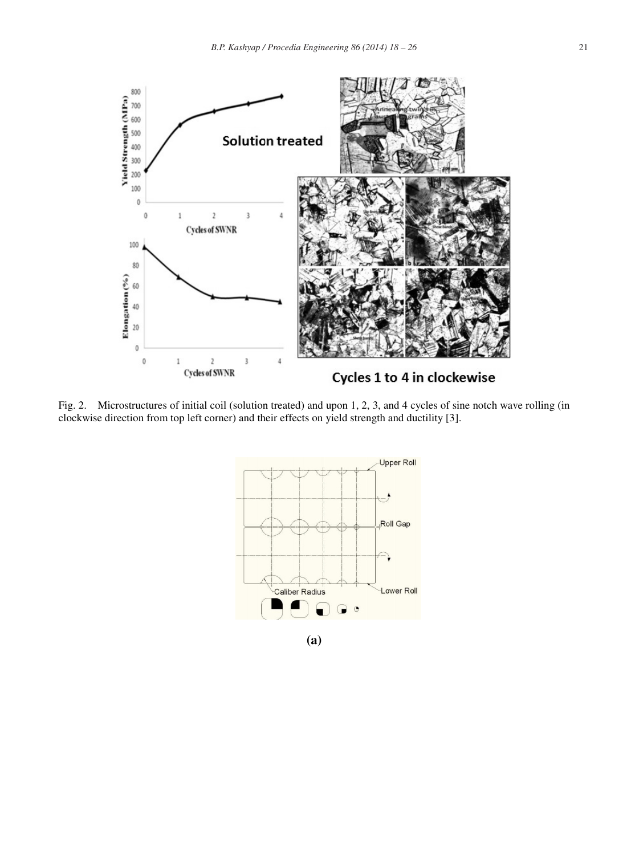

Fig. 2. Microstructures of initial coil (solution treated) and upon 1, 2, 3, and 4 cycles of sine notch wave rolling (in clockwise direction from top left corner) and th heir effects on yield strength and ductility [3].



**(a)**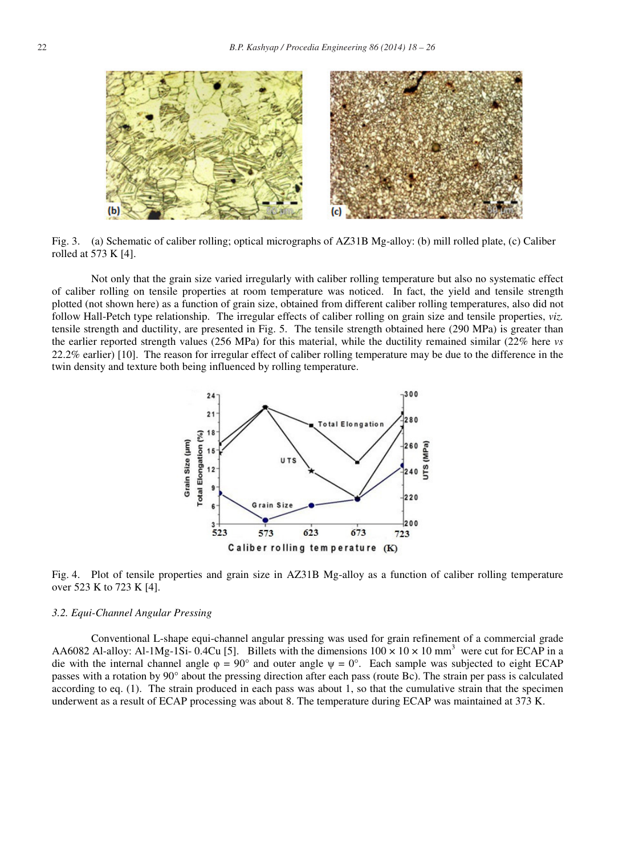

Fig. 3. (a) Schematic of caliber rolling; optical micrographs of AZ31B Mg-alloy: (b) mill rolled plate, (c) Caliber rolled at 573 K [4].

 Not only that the grain size varied irregularly with caliber rolling temperature but also no systematic effect of caliber rolling on tensile properties at room temperature was noticed. In fact, the yield and tensile strength plotted (not shown here) as a function of grain size, obtained from different caliber rolling temperatures, also did not follow Hall-Petch type relationship. The irregular effects of caliber rolling on grain size and tensile properties, *viz.*  tensile strength and ductility, are presented in Fig. 5. The tensile strength obtained here (290 MPa) is greater than the earlier reported strength values (256 MPa) for this material, while the ductility remained similar (22% here *vs* 22.2% earlier) [10]. The reason for irregular effect of caliber rolling temperature may be due to the difference in the twin density and texture both being influenced by rolling temperature.



Fig. 4. Plot of tensile properties and grain size in AZ31B Mg-alloy as a function of caliber rolling temperature over 523 K to 723 K [4].

#### *3.2. Equi-Channel Angular Pressing*

 Conventional L-shape equi-channel angular pressing was used for grain refinement of a commercial grade AA6082 Al-alloy: Al-1Mg-1Si- 0.4Cu [5]. Billets with the dimensions  $100 \times 10 \times 10$  mm<sup>3</sup> were cut for ECAP in a die with the internal channel angle  $\varphi = 90^{\circ}$  and outer angle  $\psi = 0^{\circ}$ . Each sample was subjected to eight ECAP passes with a rotation by 90° about the pressing direction after each pass (route Bc). The strain per pass is calculated according to eq. (1). The strain produced in each pass was about 1, so that the cumulative strain that the specimen underwent as a result of ECAP processing was about 8. The temperature during ECAP was maintained at 373 K.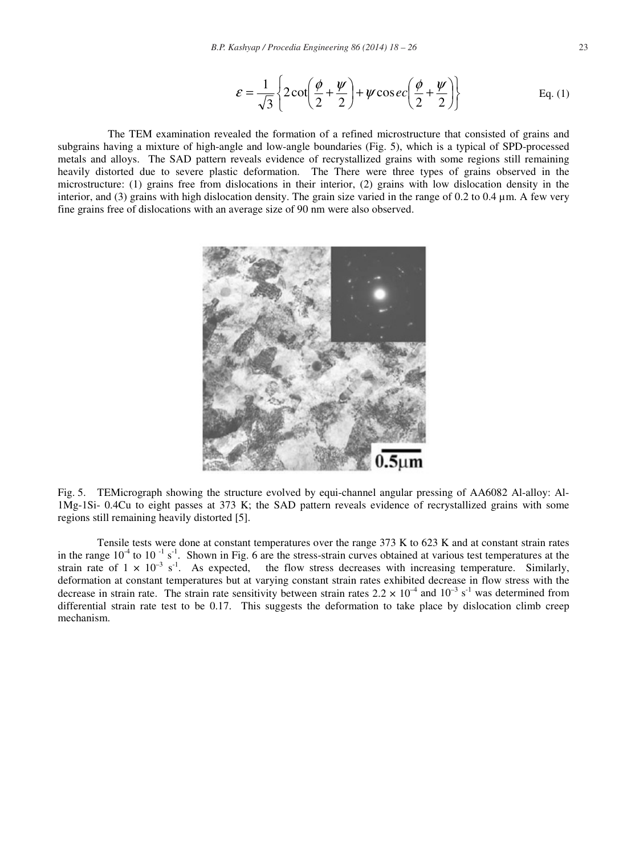$$
\varepsilon = \frac{1}{\sqrt{3}} \left\{ 2 \cot \left( \frac{\phi}{2} + \frac{\psi}{2} \right) + \psi \cos ec \left( \frac{\phi}{2} + \frac{\psi}{2} \right) \right\}
$$
 Eq. (1)

 The TEM examination revealed the formation of a refined microstructure that consisted of grains and subgrains having a mixture of high-angle and low-angle boundaries (Fig. 5), which is a typical of SPD-processed metals and alloys. The SAD pattern reveals evidence of recrystallized grains with some regions still remaining heavily distorted due to severe plastic deformation. The There were three types of grains observed in the microstructure: (1) grains free from dislocations in their interior, (2) grains with low dislocation density in the interior, and (3) grains with high dislocation density. The grain size varied in the range of 0.2 to 0.4 μm. A few very fine grains free of dislocations with an average size of 90 nm were also observed.



Fig. 5. TEMicrograph showing the structure evolved by equi-channel angular pressing of AA6082 Al-alloy: Al-1Mg-1Si- 0.4Cu to eight passes at 373 K; the SAD pattern reveals evidence of recrystallized grains with some regions still remaining heavily distorted [5].

 Tensile tests were done at constant temperatures over the range 373 K to 623 K and at constant strain rates in the range  $10^{-4}$  to  $10^{-1}$  s<sup>-1</sup>. Shown in Fig. 6 are the stress-strain curves obtained at various test temperatures at the strain rate of  $1 \times 10^{-3}$  s<sup>-1</sup>. As expected, the flow stress decreases with increasing temperature. Similarly, deformation at constant temperatures but at varying constant strain rates exhibited decrease in flow stress with the decrease in strain rate. The strain rate sensitivity between strain rates  $2.2 \times 10^{-4}$  and  $10^{-3}$  s<sup>-1</sup> was determined from differential strain rate test to be 0.17. This suggests the deformation to take place by dislocation climb creep mechanism.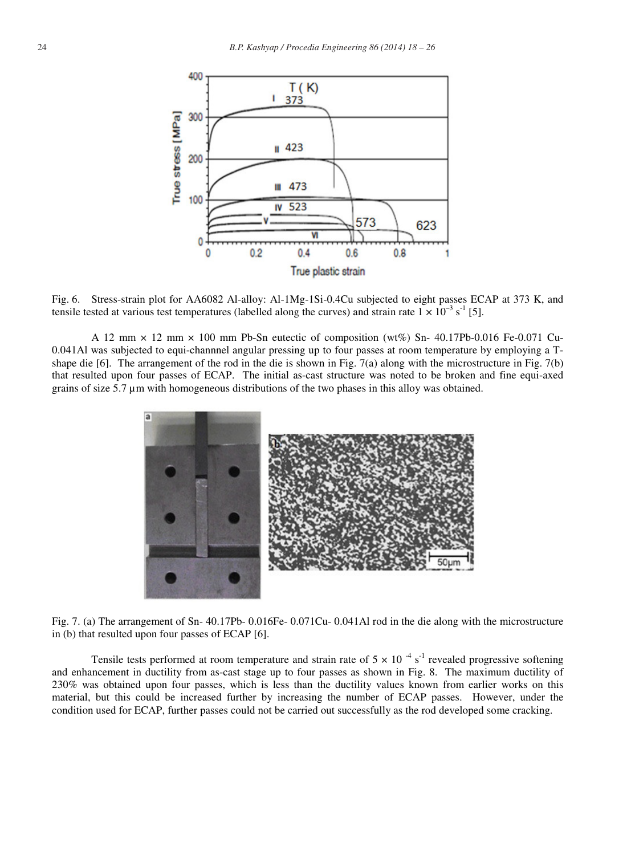

Fig. 6. Stress-strain plot for AA6082 Al-alloy: Al-1Mg-1Si-0.4Cu subjected to eight passes ECAP at 373 K, and tensile tested at various test temperatures (labelled along the curves) and strain rate  $1 \times 10^{-3}$  s<sup>-1</sup> [5].

A 12 mm  $\times$  12 mm  $\times$  100 mm Pb-Sn eutectic of composition (wt%) Sn- 40.17Pb-0.016 Fe-0.071 Cu-0.041Al was subjected to equi-channnel angular pressing up to four passes at room temperature by employing a Tshape die [6]. The arrangement of the rod in the die is shown in Fig. 7(a) along with the microstructure in Fig. 7(b) that resulted upon four passes of ECAP. The initial as-cast structure was noted to be broken and fine equi-axed grains of size 5.7 μm with homogeneous distributions of the two phases in this alloy was obtained.



Fig. 7. (a) The arrangement of Sn- 40.17Pb- 0.016Fe- 0.071Cu- 0.041Al rod in the die along with the microstructure in (b) that resulted upon four passes of ECAP [6].

Tensile tests performed at room temperature and strain rate of  $5 \times 10^{-4}$  s<sup>-1</sup> revealed progressive softening and enhancement in ductility from as-cast stage up to four passes as shown in Fig. 8. The maximum ductility of 230% was obtained upon four passes, which is less than the ductility values known from earlier works on this material, but this could be increased further by increasing the number of ECAP passes. However, under the condition used for ECAP, further passes could not be carried out successfully as the rod developed some cracking.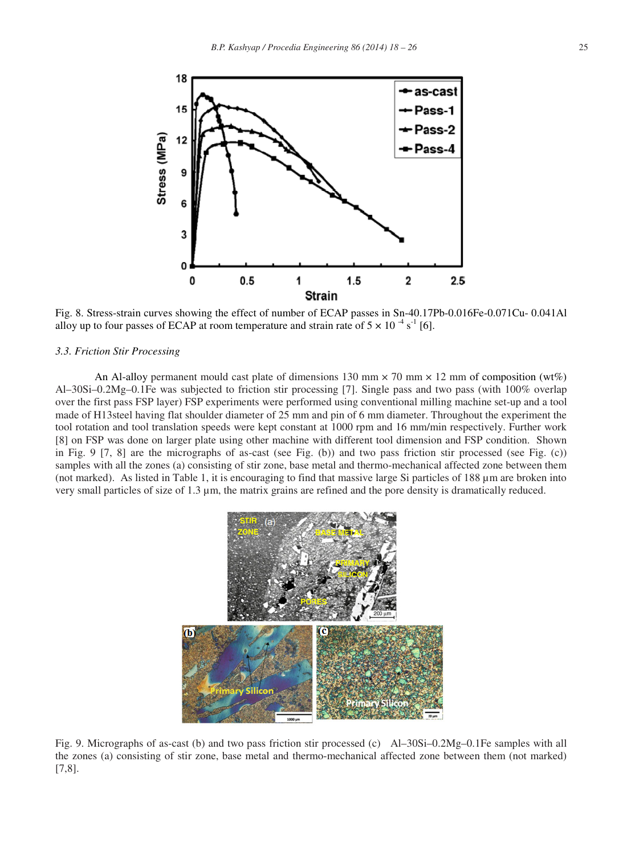

Fig. 8. Stress-strain curves showing the effect of number of ECAP passes in Sn-40.17Pb-0.016Fe-0.071Cu- 0.041Al alloy up to four passes of ECAP at room temperature and strain rate of  $5 \times 10^{-4}$  s<sup>-1</sup> [6].

## *3.3. Friction Stir Processing*

An Al-alloy permanent mould cast plate of dimensions 130 mm  $\times$  70 mm  $\times$  12 mm of composition (wt%) Al–30Si–0.2Mg–0.1Fe was subjected to friction stir processing [7]. Single pass and two pass (with 100% overlap over the first pass FSP layer) FSP experiments were performed using conventional milling machine set-up and a tool made of H13steel having flat shoulder diameter of  $25 \text{ mm}$  and pin of 6 mm diameter. Throughout the experiment the tool rotation and tool translation speeds were kept constant at 1000 rpm and 16 mm/min respectively. Further work [8] on FSP was done on larger plate using other machine with different tool dimension and FSP condition. Shown in Fig. 9 [7, 8] are the micrographs of as-cast (see Fig. (b)) and two pass friction stir processed (see Fig. (c)) samples with all the zones (a) consisting of stir zone, base metal and thermo-mechanical affected zone between them (not marked). As listed in Table 1, it is encouraging to find that massive large Si particles of 188 μm are broken into very small particles of size of 1.3 μm, the matrix grains are refined and the pore density is dramatically reduced.



Fig. 9. Micrographs of as-cast (b) and two pass friction stir processed (c) Al–30Si–0.2Mg–0.1Fe samples with all the zones (a) consisting of stir zone, base metal and thermo-mechanical affected zone between them (not marked) [7,8].